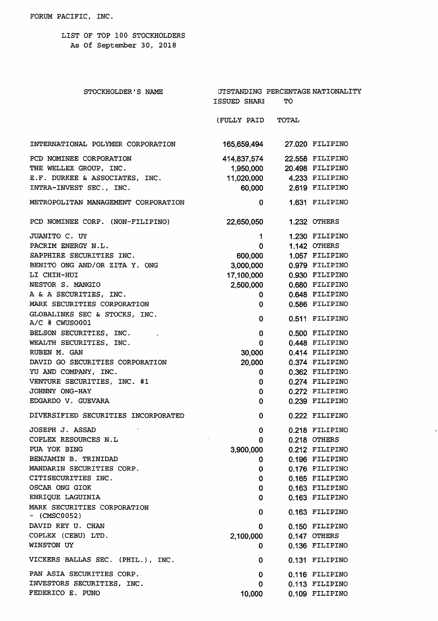LIST OF TOP 100 STOCKHOLDERS As Of September 30, 2018

| STOCKHOLDER'S NAME                              | ISSUED SHARI | TО                        | UTSTANDING PERCENTAGE NATIONALITY |
|-------------------------------------------------|--------------|---------------------------|-----------------------------------|
|                                                 | (FULLY PAID  | TOTAL                     |                                   |
| INTERNATIONAL POLYMER CORPORATION               | 165,659,494  |                           | 27.020 FILIPINO                   |
| PCD NOMINEE CORPORATION                         | 414,837,574  |                           | 22.558 FILIPINO                   |
| THE WELLEX GROUP, INC.                          | 1,950,000    |                           | 20.498 FILIPINO                   |
| E.F. DURKEE & ASSOCIATES, INC.                  |              | 11,020,000 4.233 FILIPINO |                                   |
| INTRA-INVEST SEC., INC.                         |              | 60,000 2.619 FILIPINO     |                                   |
| METROPOLITAN MANAGEMENT CORPORATION             | 0            |                           | 1.631 FILIPINO                    |
| PCD NOMINEE CORP. (NON-FILIPINO)                | 22,650,050   |                           | 1.232 OTHERS                      |
| JUANITO C. UY                                   | 1            |                           | 1.230 FILIPINO                    |
| PACRIM ENERGY N.L.                              | 0            |                           | 1.142 OTHERS                      |
| SAPPHIRE SECURITIES INC.                        | 600,000      |                           | 1.057 FILIPINO                    |
| BENITO ONG AND/OR ZITA Y. ONG                   | 3,000,000    |                           | 0.979 FILIPINO                    |
| LI CHIH-HUI                                     | 17,100,000   |                           | 0.930 FILIPINO                    |
| NESTOR S. MANGIO                                | 2,500,000    |                           | 0.680 FILIPINO                    |
| A & A SECURITIES, INC.                          | 0            |                           | 0.648 FILIPINO                    |
| MARK SECURITIES CORPORATION                     | 0            |                           | 0.586 FILIPINO                    |
| GLOBALINKS SEC & STOCKS, INC.<br>A/C # CWUSO001 | 0            |                           | 0.511 FILIPINO                    |
| BELSON SECURITIES, INC.                         | $\mathbf 0$  |                           | 0.500 FILIPINO                    |
| WEALTH SECURITIES, INC.                         | 0            |                           | 0.448 FILIPINO                    |
| RUBEN M. GAN                                    | 30,000       |                           | 0.414 FILIPINO                    |
| DAVID GO SECURITIES CORPORATION                 | 20,000       |                           | 0.374 FILIPINO                    |
| YU AND COMPANY, INC.                            | 0            |                           | 0.362 FILIPINO                    |
| VENTURE SECURITIES, INC. #1                     | 0            |                           | 0.274 FILIPINO                    |
| JOHNNY ONG-HAY                                  | 0            |                           | 0.272 FILIPINO                    |
| EDGARDO V. GUEVARA                              | 0            |                           | 0.239 FILIPINO                    |
| DIVERSIFIED SECURITIES INCORPORATED             | $\mathbf 0$  |                           | 0.222 FILIPINO                    |
| JOSEPH J. ASSAD                                 | 0            |                           | 0.218 FILIPINO                    |
| COPLEX RESOURCES N.L                            | 0            |                           | 0.218 OTHERS                      |
| PUA YOK BING                                    | 3,900,000    |                           | 0.212 FILIPINO                    |
| BENJAMIN B. TRINIDAD                            | 0            |                           | 0.196 FILIPINO                    |
| MANDARIN SECURITIES CORP.                       | 0            |                           | 0.176 FILIPINO                    |
| CITISECURITIES INC.                             | 0            |                           | 0.165 FILIPINO                    |
| OSCAR ONG GIOK                                  | 0            |                           | 0.163 FILIPINO                    |
| ENRIQUE LAGUINIA                                | 0            |                           | 0.163 FILIPINO                    |
| MARK SECURITIES CORPORATION<br>$-$ (CMSC0052)   | 0            |                           | 0.163 FILIPINO                    |
| DAVID REY U. CHAN                               | 0            |                           | 0.150 FILIPINO                    |
| COPLEX (CEBU) LTD.                              | 2,100,000    |                           | 0.147 OTHERS                      |
| WINSTON UY                                      | 0            |                           | 0.136 FILIPINO                    |
| VICKERS BALLAS SEC. (PHIL.), INC.               | 0            |                           | 0.131 FILIPINO                    |
| PAN ASIA SECURITIES CORP.                       | 0            |                           | 0.116 FILIPINO                    |
| INVESTORS SECURITIES, INC.                      | 0            |                           | 0.113 FILIPINO                    |
| FEDERICO E. PUNO                                | 10,000       |                           | 0.109 FILIPINO                    |

 $\mathcal{A}^{\mathcal{A}}$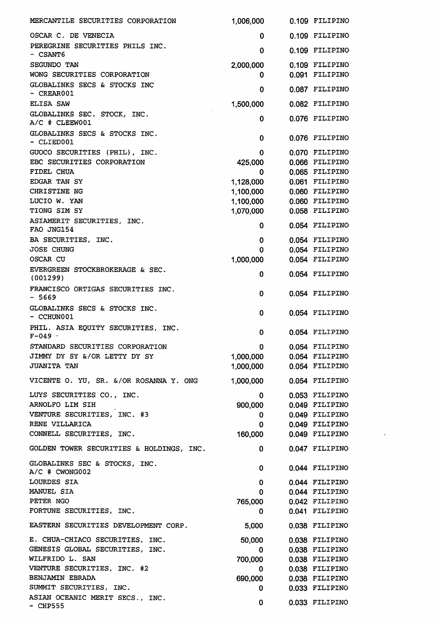| MERCANTILE SECURITIES CORPORATION               | 1,006,000                     | 0.109 FILIPINO |
|-------------------------------------------------|-------------------------------|----------------|
| OSCAR C. DE VENECIA                             | 0                             | 0.109 FILIPINO |
| PEREGRINE SECURITIES PHILS INC.<br>- CSANT6     | 0                             | 0.109 FILIPINO |
| SEGUNDO TAN                                     | 2,000,000                     | 0.109 FILIPINO |
| WONG SECURITIES CORPORATION                     | 0                             | 0.091 FILIPINO |
| GLOBALINKS SECS & STOCKS INC<br>- CREAR001      | 0                             | 0.087 FILIPINO |
| ELISA SAW                                       | 1,500,000                     | 0.082 FILIPINO |
| GLOBALINKS SEC. STOCK, INC.                     |                               |                |
| $A/C$ # CLEEW001                                | 0                             | 0.076 FILIPINO |
| GLOBALINKS SECS & STOCKS INC.<br>- CLIED001     | 0                             | 0.076 FILIPINO |
| GUOCO SECURITIES (PHIL), INC.                   | 0                             | 0.070 FILIPINO |
| EBC SECURITIES CORPORATION                      | 425,000                       | 0.066 FILIPINO |
| FIDEL CHUA                                      | 0                             | 0.065 FILIPINO |
| EDGAR TAN SY                                    | 1,128,000                     | 0.061 FILIPINO |
| CHRISTINE NG                                    | 1,100,000                     | 0.060 FILIPINO |
| LUCIO W. YAN                                    | 1,100,000                     | 0.060 FILIPINO |
| TIONG SIM SY                                    | 1,070,000                     | 0.058 FILIPINO |
| ASIAMERIT SECURITIES, INC.<br>FAO JNG154        | 0                             | 0.054 FILIPINO |
| BA SECURITIES, INC.                             | 0                             | 0.054 FILIPINO |
| JOSE CHUNG                                      | 0                             | 0.054 FILIPINO |
| <b>OSCAR CU</b>                                 | 1,000,000                     | 0.054 FILIPINO |
| EVERGREEN STOCKBROKERAGE & SEC.<br>(001299)     | 0                             | 0.054 FILIPINO |
| FRANCISCO ORTIGAS SECURITIES INC.<br>$-5669$    | 0                             | 0.054 FILIPINO |
| GLOBALINKS SECS & STOCKS INC.<br>- CCHUN001     | 0                             | 0.054 FILIPINO |
| PHIL. ASIA EQUITY SECURITIES, INC.<br>$F - 049$ | 0                             | 0.054 FILIPINO |
| STANDARD SECURITIES CORPORATION                 | n.                            | 0.054 FILIPINO |
| JIMMY DY SY &/OR LETTY DY SY                    | 1,000,000                     | 0.054 FILIPINO |
| <b>JUANITA TAN</b>                              | 1,000,000                     | 0.054 FILIPINO |
| VICENTE O. YU, SR. &/OR ROSANNA Y. ONG          | 1,000,000                     | 0.054 FILIPINO |
| LUYS SECURITIES CO., INC.                       | 0                             | 0.053 FILIPINO |
| ARNOLFO LIM SIH                                 |                               | 0.049 FILIPINO |
|                                                 | 900,000                       |                |
| VENTURE SECURITIES, INC. #3                     | 0                             | 0.049 FILIPINO |
| RENE VILLARICA                                  | 0                             | 0.049 FILIPINO |
| CONNELL SECURITIES, INC.                        | 160,000                       | 0.049 FILIPINO |
| GOLDEN TOWER SECURITIES & HOLDINGS, INC.        | 0                             | 0.047 FILIPINO |
| GLOBALINKS SEC & STOCKS, INC.<br>A/C # CWONG002 | 0.                            | 0.044 FILIPINO |
| LOURDES SIA                                     | 0                             | 0.044 FILIPINO |
| MANUEL SIA                                      | 0.                            | 0.044 FILIPINO |
| PETER NGO                                       | 765,000                       | 0.042 FILIPINO |
| FORTUNE SECURITIES, INC.                        | 0                             | 0.041 FILIPINO |
| EASTERN SECURITIES DEVELOPMENT CORP.            | 5,000                         | 0.038 FILIPINO |
| E. CHUA-CHIACO SECURITIES, INC.                 | 50,000                        | 0.038 FILIPINO |
| GENESIS GLOBAL SECURITIES, INC.                 | $\mathbf{0}$                  | 0.038 FILIPINO |
| WILFRIDO L. SAN                                 | 700,000                       | 0.038 FILIPINO |
| VENTURE SECURITIES, INC. #2                     | 0                             | 0.038 FILIPINO |
| BENJAMIN EBRADA                                 | 690,000                       | 0.038 FILIPINO |
| SUMMIT SECURITIES, INC.                         | 0.                            | 0.033 FILIPINO |
| ASIAN OCEANIC MERIT SECS., INC.                 |                               |                |
| $-$ CHP555                                      | $\mathbf{0}$ and $\mathbf{0}$ | 0.033 FILIPINO |

 $\sim$   $\sim$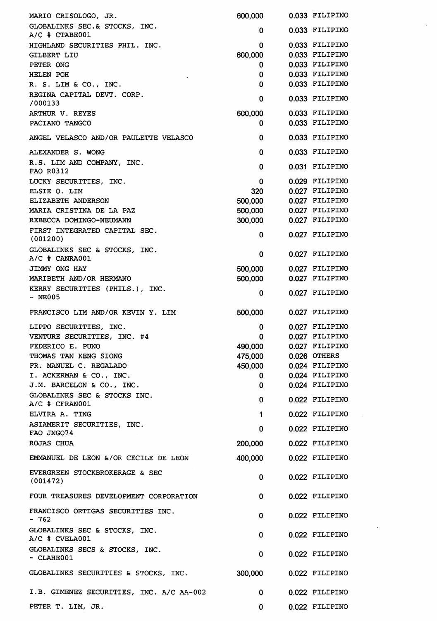| 0.033 FILIPINO<br>0<br>0.033 FILIPINO<br>0<br>0.033 FILIPINO<br>600,000<br>0.033 FILIPINO<br>0<br>0.033 FILIPINO<br>0<br>0.033 FILIPINO<br>0<br>0.033 FILIPINO<br>0<br>/000133<br>600,000<br>0.033 FILIPINO<br>ARTHUR V. REYES<br>0.033 FILIPINO<br>0<br>0.033 FILIPINO<br>0<br>$\Omega$<br>0.033 FILIPINO<br>R.S. LIM AND COMPANY, INC.<br>0.031 FILIPINO<br>0<br>0.029 FILIPINO<br>0<br>320<br>0.027 FILIPINO<br>500,000<br>0.027 FILIPINO<br>500,000<br>0.027 FILIPINO<br>0.027 FILIPINO<br>300,000<br>0.027 FILIPINO<br>0<br>0.027 FILIPINO<br>0<br>A/C # CANRA001<br>JIMMY ONG HAY<br>500,000<br>0.027 FILIPINO<br>500,000<br>MARIBETH AND/OR HERMANO<br>0.027 FILIPINO<br>0.027 FILIPINO<br>0<br>500,000<br>0.027 FILIPINO<br>0.027 FILIPINO<br>0<br>VENTURE SECURITIES, INC. #4<br>0.027 FILIPINO<br>$\mathbf 0$<br>FEDERICO E. PUNO<br>0.027 FILIPINO<br>490,000<br>475,000<br>0.026 OTHERS<br>450,000<br>0.024 FILIPINO<br>0.024 FILIPINO<br>I. ACKERMAN & CO., INC.<br>0<br>0.024 FILIPINO<br>J.M. BARCELON & CO., INC.<br>0<br>0.022 FILIPINO<br>$\bf{0}$<br>A/C # CFRAN001<br>$\mathbf 1$<br>0.022 FILIPINO<br>0.022 FILIPINO<br>$\mathbf 0$<br>FAO JNGO74<br>200,000<br>0.022 FILIPINO<br>400,000<br>0.022 FILIPINO<br>0.022 FILIPINO<br>$\mathbf 0$<br>$\mathbf 0$<br>0.022 FILIPINO<br>0.022 FILIPINO<br>0<br>0<br>0.022 FILIPINO<br>$\mathbf 0$<br>0.022 FILIPINO<br>$-$ CLAHE001<br>GLOBALINKS SECURITIES & STOCKS, INC.<br>300,000<br>0.022 FILIPINO<br>0.022 FILIPINO<br>0<br>0<br>0.022 FILIPINO | MARIO CRISOLOGO, JR.                            | 600,000 | 0.033 FILIPINO |
|----------------------------------------------------------------------------------------------------------------------------------------------------------------------------------------------------------------------------------------------------------------------------------------------------------------------------------------------------------------------------------------------------------------------------------------------------------------------------------------------------------------------------------------------------------------------------------------------------------------------------------------------------------------------------------------------------------------------------------------------------------------------------------------------------------------------------------------------------------------------------------------------------------------------------------------------------------------------------------------------------------------------------------------------------------------------------------------------------------------------------------------------------------------------------------------------------------------------------------------------------------------------------------------------------------------------------------------------------------------------------------------------------------------------------------------------------------------------------------------------------------------------|-------------------------------------------------|---------|----------------|
|                                                                                                                                                                                                                                                                                                                                                                                                                                                                                                                                                                                                                                                                                                                                                                                                                                                                                                                                                                                                                                                                                                                                                                                                                                                                                                                                                                                                                                                                                                                      | GLOBALINKS SEC.& STOCKS, INC.<br>A/C # CTABE001 |         |                |
|                                                                                                                                                                                                                                                                                                                                                                                                                                                                                                                                                                                                                                                                                                                                                                                                                                                                                                                                                                                                                                                                                                                                                                                                                                                                                                                                                                                                                                                                                                                      | HIGHLAND SECURITIES PHIL. INC.                  |         |                |
|                                                                                                                                                                                                                                                                                                                                                                                                                                                                                                                                                                                                                                                                                                                                                                                                                                                                                                                                                                                                                                                                                                                                                                                                                                                                                                                                                                                                                                                                                                                      | <b>GILBERT LIU</b>                              |         |                |
|                                                                                                                                                                                                                                                                                                                                                                                                                                                                                                                                                                                                                                                                                                                                                                                                                                                                                                                                                                                                                                                                                                                                                                                                                                                                                                                                                                                                                                                                                                                      | PETER ONG                                       |         |                |
|                                                                                                                                                                                                                                                                                                                                                                                                                                                                                                                                                                                                                                                                                                                                                                                                                                                                                                                                                                                                                                                                                                                                                                                                                                                                                                                                                                                                                                                                                                                      | HELEN POH                                       |         |                |
|                                                                                                                                                                                                                                                                                                                                                                                                                                                                                                                                                                                                                                                                                                                                                                                                                                                                                                                                                                                                                                                                                                                                                                                                                                                                                                                                                                                                                                                                                                                      | R. S. LIM & CO., INC.                           |         |                |
|                                                                                                                                                                                                                                                                                                                                                                                                                                                                                                                                                                                                                                                                                                                                                                                                                                                                                                                                                                                                                                                                                                                                                                                                                                                                                                                                                                                                                                                                                                                      | REGINA CAPITAL DEVT. CORP.                      |         |                |
|                                                                                                                                                                                                                                                                                                                                                                                                                                                                                                                                                                                                                                                                                                                                                                                                                                                                                                                                                                                                                                                                                                                                                                                                                                                                                                                                                                                                                                                                                                                      |                                                 |         |                |
|                                                                                                                                                                                                                                                                                                                                                                                                                                                                                                                                                                                                                                                                                                                                                                                                                                                                                                                                                                                                                                                                                                                                                                                                                                                                                                                                                                                                                                                                                                                      | PACIANO TANGCO                                  |         |                |
|                                                                                                                                                                                                                                                                                                                                                                                                                                                                                                                                                                                                                                                                                                                                                                                                                                                                                                                                                                                                                                                                                                                                                                                                                                                                                                                                                                                                                                                                                                                      | ANGEL VELASCO AND/OR PAULETTE VELASCO           |         |                |
|                                                                                                                                                                                                                                                                                                                                                                                                                                                                                                                                                                                                                                                                                                                                                                                                                                                                                                                                                                                                                                                                                                                                                                                                                                                                                                                                                                                                                                                                                                                      | ALEXANDER S. WONG                               |         |                |
|                                                                                                                                                                                                                                                                                                                                                                                                                                                                                                                                                                                                                                                                                                                                                                                                                                                                                                                                                                                                                                                                                                                                                                                                                                                                                                                                                                                                                                                                                                                      | FAO R0312                                       |         |                |
|                                                                                                                                                                                                                                                                                                                                                                                                                                                                                                                                                                                                                                                                                                                                                                                                                                                                                                                                                                                                                                                                                                                                                                                                                                                                                                                                                                                                                                                                                                                      | LUCKY SECURITIES, INC.                          |         |                |
|                                                                                                                                                                                                                                                                                                                                                                                                                                                                                                                                                                                                                                                                                                                                                                                                                                                                                                                                                                                                                                                                                                                                                                                                                                                                                                                                                                                                                                                                                                                      | ELSIE O. LIM                                    |         |                |
|                                                                                                                                                                                                                                                                                                                                                                                                                                                                                                                                                                                                                                                                                                                                                                                                                                                                                                                                                                                                                                                                                                                                                                                                                                                                                                                                                                                                                                                                                                                      | ELIZABETH ANDERSON                              |         |                |
|                                                                                                                                                                                                                                                                                                                                                                                                                                                                                                                                                                                                                                                                                                                                                                                                                                                                                                                                                                                                                                                                                                                                                                                                                                                                                                                                                                                                                                                                                                                      | MARIA CRISTINA DE LA PAZ                        |         |                |
|                                                                                                                                                                                                                                                                                                                                                                                                                                                                                                                                                                                                                                                                                                                                                                                                                                                                                                                                                                                                                                                                                                                                                                                                                                                                                                                                                                                                                                                                                                                      | REBECCA DOMINGO-NEUMANN                         |         |                |
|                                                                                                                                                                                                                                                                                                                                                                                                                                                                                                                                                                                                                                                                                                                                                                                                                                                                                                                                                                                                                                                                                                                                                                                                                                                                                                                                                                                                                                                                                                                      | FIRST INTEGRATED CAPITAL SEC.<br>(001200)       |         |                |
|                                                                                                                                                                                                                                                                                                                                                                                                                                                                                                                                                                                                                                                                                                                                                                                                                                                                                                                                                                                                                                                                                                                                                                                                                                                                                                                                                                                                                                                                                                                      | GLOBALINKS SEC & STOCKS, INC.                   |         |                |
|                                                                                                                                                                                                                                                                                                                                                                                                                                                                                                                                                                                                                                                                                                                                                                                                                                                                                                                                                                                                                                                                                                                                                                                                                                                                                                                                                                                                                                                                                                                      |                                                 |         |                |
|                                                                                                                                                                                                                                                                                                                                                                                                                                                                                                                                                                                                                                                                                                                                                                                                                                                                                                                                                                                                                                                                                                                                                                                                                                                                                                                                                                                                                                                                                                                      |                                                 |         |                |
|                                                                                                                                                                                                                                                                                                                                                                                                                                                                                                                                                                                                                                                                                                                                                                                                                                                                                                                                                                                                                                                                                                                                                                                                                                                                                                                                                                                                                                                                                                                      | KERRY SECURITIES (PHILS.), INC.<br>$-$ NE005    |         |                |
|                                                                                                                                                                                                                                                                                                                                                                                                                                                                                                                                                                                                                                                                                                                                                                                                                                                                                                                                                                                                                                                                                                                                                                                                                                                                                                                                                                                                                                                                                                                      | FRANCISCO LIM AND/OR KEVIN Y. LIM               |         |                |
|                                                                                                                                                                                                                                                                                                                                                                                                                                                                                                                                                                                                                                                                                                                                                                                                                                                                                                                                                                                                                                                                                                                                                                                                                                                                                                                                                                                                                                                                                                                      | LIPPO SECURITIES, INC.                          |         |                |
|                                                                                                                                                                                                                                                                                                                                                                                                                                                                                                                                                                                                                                                                                                                                                                                                                                                                                                                                                                                                                                                                                                                                                                                                                                                                                                                                                                                                                                                                                                                      |                                                 |         |                |
|                                                                                                                                                                                                                                                                                                                                                                                                                                                                                                                                                                                                                                                                                                                                                                                                                                                                                                                                                                                                                                                                                                                                                                                                                                                                                                                                                                                                                                                                                                                      |                                                 |         |                |
|                                                                                                                                                                                                                                                                                                                                                                                                                                                                                                                                                                                                                                                                                                                                                                                                                                                                                                                                                                                                                                                                                                                                                                                                                                                                                                                                                                                                                                                                                                                      | THOMAS TAN KENG SIONG                           |         |                |
|                                                                                                                                                                                                                                                                                                                                                                                                                                                                                                                                                                                                                                                                                                                                                                                                                                                                                                                                                                                                                                                                                                                                                                                                                                                                                                                                                                                                                                                                                                                      | FR. MANUEL C. REGALADO                          |         |                |
|                                                                                                                                                                                                                                                                                                                                                                                                                                                                                                                                                                                                                                                                                                                                                                                                                                                                                                                                                                                                                                                                                                                                                                                                                                                                                                                                                                                                                                                                                                                      |                                                 |         |                |
|                                                                                                                                                                                                                                                                                                                                                                                                                                                                                                                                                                                                                                                                                                                                                                                                                                                                                                                                                                                                                                                                                                                                                                                                                                                                                                                                                                                                                                                                                                                      |                                                 |         |                |
|                                                                                                                                                                                                                                                                                                                                                                                                                                                                                                                                                                                                                                                                                                                                                                                                                                                                                                                                                                                                                                                                                                                                                                                                                                                                                                                                                                                                                                                                                                                      | GLOBALINKS SEC & STOCKS INC.                    |         |                |
|                                                                                                                                                                                                                                                                                                                                                                                                                                                                                                                                                                                                                                                                                                                                                                                                                                                                                                                                                                                                                                                                                                                                                                                                                                                                                                                                                                                                                                                                                                                      | ELVIRA A. TING                                  |         |                |
|                                                                                                                                                                                                                                                                                                                                                                                                                                                                                                                                                                                                                                                                                                                                                                                                                                                                                                                                                                                                                                                                                                                                                                                                                                                                                                                                                                                                                                                                                                                      | ASIAMERIT SECURITIES, INC.                      |         |                |
|                                                                                                                                                                                                                                                                                                                                                                                                                                                                                                                                                                                                                                                                                                                                                                                                                                                                                                                                                                                                                                                                                                                                                                                                                                                                                                                                                                                                                                                                                                                      | ROJAS CHUA                                      |         |                |
|                                                                                                                                                                                                                                                                                                                                                                                                                                                                                                                                                                                                                                                                                                                                                                                                                                                                                                                                                                                                                                                                                                                                                                                                                                                                                                                                                                                                                                                                                                                      | EMMANUEL DE LEON &/OR CECILE DE LEON            |         |                |
|                                                                                                                                                                                                                                                                                                                                                                                                                                                                                                                                                                                                                                                                                                                                                                                                                                                                                                                                                                                                                                                                                                                                                                                                                                                                                                                                                                                                                                                                                                                      | EVERGREEN STOCKBROKERAGE & SEC<br>(001472)      |         |                |
|                                                                                                                                                                                                                                                                                                                                                                                                                                                                                                                                                                                                                                                                                                                                                                                                                                                                                                                                                                                                                                                                                                                                                                                                                                                                                                                                                                                                                                                                                                                      | FOUR TREASURES DEVELOPMENT CORPORATION          |         |                |
|                                                                                                                                                                                                                                                                                                                                                                                                                                                                                                                                                                                                                                                                                                                                                                                                                                                                                                                                                                                                                                                                                                                                                                                                                                                                                                                                                                                                                                                                                                                      | FRANCISCO ORTIGAS SECURITIES INC.<br>- 762      |         |                |
|                                                                                                                                                                                                                                                                                                                                                                                                                                                                                                                                                                                                                                                                                                                                                                                                                                                                                                                                                                                                                                                                                                                                                                                                                                                                                                                                                                                                                                                                                                                      | GLOBALINKS SEC & STOCKS, INC.<br>A/C # CVELA001 |         |                |
|                                                                                                                                                                                                                                                                                                                                                                                                                                                                                                                                                                                                                                                                                                                                                                                                                                                                                                                                                                                                                                                                                                                                                                                                                                                                                                                                                                                                                                                                                                                      | GLOBALINKS SECS & STOCKS, INC.                  |         |                |
|                                                                                                                                                                                                                                                                                                                                                                                                                                                                                                                                                                                                                                                                                                                                                                                                                                                                                                                                                                                                                                                                                                                                                                                                                                                                                                                                                                                                                                                                                                                      |                                                 |         |                |
|                                                                                                                                                                                                                                                                                                                                                                                                                                                                                                                                                                                                                                                                                                                                                                                                                                                                                                                                                                                                                                                                                                                                                                                                                                                                                                                                                                                                                                                                                                                      | I.B. GIMENEZ SECURITIES, INC. A/C AA-002        |         |                |
|                                                                                                                                                                                                                                                                                                                                                                                                                                                                                                                                                                                                                                                                                                                                                                                                                                                                                                                                                                                                                                                                                                                                                                                                                                                                                                                                                                                                                                                                                                                      | PETER T. LIM, JR.                               |         |                |

 $\hat{r}$  .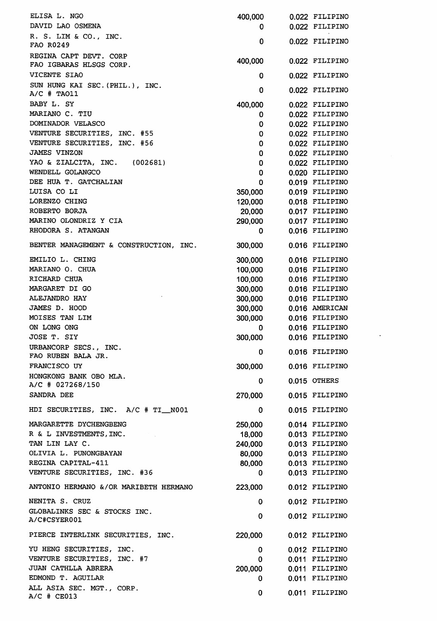ELISA L. NGO 400,000 0.022 FILIPINO DAVID LAO OSMENA <sup>0</sup> 0.022 FILIPINO R. S. LIM & CO., INC. FAO R0249 0 0.022 FILIPINO REGINA CAPT DEVT. CORP FAO IGBARAS HLSGS CORP. 400,000 0.022 FILIPINO VICENTE SIAO <sup>0</sup> 0.022 FILIPINO SUN HUNG KAI SEC.(PHIL.), INC.  $A/C$  # TAO11  $A/C$  # TAO11 BABY L. SY 200,000 0.022 FILIPINO MARIANO C. TIU 1999 D. EN ENGLISH DE L'ANNO C. TIU DOMINADOR VELASCO <sup>0</sup> 0.022 FILIPINO VENTURE SECURITIES, INC. #55 0 0.022 FILIPINO VENTURE SECURITIES, INC. #56 0 0.022 FILIPINO JAMES VINZON <sup>0</sup> 0.022 FILIPINO YAO & ZIALCITA, INC. (002681) <sup>0</sup> 0.022 FILIPINO WENDELL GOLANGCO <sup>0</sup> 0.020 FILIPINO DEE HUA T. GATCHALIAN <sup>0</sup> 0.019 FILIPINO LUISA CO LI 350,000 0.019 FILIPINO LORENZO CHING 120,000 0.018 FILIPINO ROBERTO BORJA 20,000 0.017 FILIPINO MARINO OLONDRIZ Y CIA 290,000 0.017 FILIPINO RHODORA S. ATANGAN <sup>0</sup> 0.016 FILIPINO BENTER MANAGEMENT & CONSTRUCTION, INC. 300,000 0.016 FILIPINO EMILIO L. CHING 300,000 0.016 FILIPINO MARIANO O. CHUA 100,000 0.016 FILIPINO RICHARD CHUA 100,000 0.016 FILIPINO MARGARET DI GO SONO 200,000 0.016 FILIPINO ALEJANDRO HAY 300,000 0.016 FILIPINO JAMES D. HOOD 300,000 0.016 AMERICAN MOISES TAN LIM **300,000** 0.016 FILIPINO ON LONG ONG <sup>0</sup> 0.016 FILIPINO JOSE T. SIY 300,000 0.016 FILIPINO URBANCORP SECS., INC. FAO RUBEN BALA JR. <sup>0</sup> 0.016 FILIPINO FRANCISCO UY 300,000 0.016 FILIPINO HONGKONG BANK OBO MLA. A/C # 027268/150 <sup>0</sup> 0.015 OTHERS SANDRA DEE 270,000 0.015 FILIPINO HDI SECURITIES, INC. A/C # TI\_N001 0 0.015 FILIPINO MARGARETTE DYCHENGBENG 250.000 0.014 FILIPINO R & L INVESTMENTS, INC. 18,000 0.013 FILIPINO TAN LIN LAY C. 240,000 0.013 FILIPINO OLIVIA L. PUNONGBAYAN 80,000 0.013 FILIPINO REGINA CAPITAL-411 80,000 0.013 FILIPINO VENTURE SECURITIES, INC. #36 0 0.013 FILIPINO ANTONIO HERMANO &/0R MARIBETH HERMANO 223,000 0.012 FILIPINO NENITA S. CRUZ <sup>0</sup> 0.012 FILIPINO GLOBALINKS SEC & STOCKS INC. COOMETIMES SEC & STOCKS TNC.<br>A/C#CSYER001 0 0.012 FILIPINO PIERCE INTERLINK SECURITIES, INC. 220,000 0.012 FILIPINO YU HENG SECURITIES, INC. <sup>0</sup> 0.012 FILIPINO VENTURE SECURITIES, INC. #7 0 0.011 FILIPINO JUAN CATHLLA ABRERA 200,000 0.011 FILIPINO EDMOND T. AGUILAR  $\qquad \qquad \qquad 0 \qquad \qquad 0.011$  FILIPINO ALL ASIA SEC. MGT., CORP. A/C # CE013 0 0.011 FILIPINO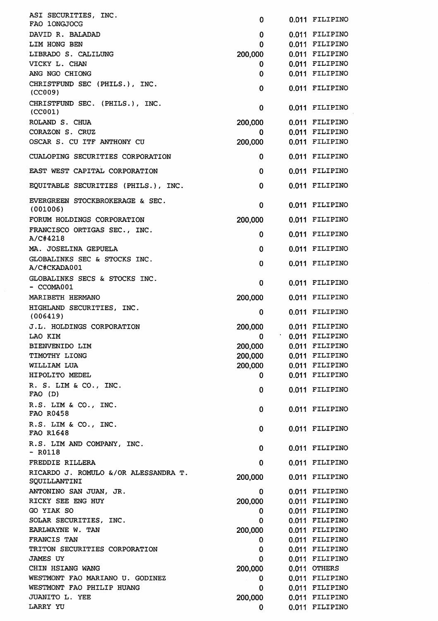| ASI SECURITIES, INC.<br>FAO 10NGJOCG                                   | 0                  | 0.011 FILIPINO                   |
|------------------------------------------------------------------------|--------------------|----------------------------------|
| DAVID R. BALADAD                                                       | 0                  | 0.011 FILIPINO                   |
| LIM HONG BEN                                                           | 0                  | 0.011 FILIPINO                   |
| LIBRADO S. CALILUNG                                                    | 200,000            | 0.011 FILIPINO                   |
| VICKY L. CHAN                                                          | 0                  | 0.011 FILIPINO                   |
| ANG NGO CHIONG                                                         | 0                  | 0.011 FILIPINO                   |
| CHRISTFUND SEC (PHILS.), INC.<br>(CCOO9)                               | 0                  | 0.011 FILIPINO                   |
| CHRISTFUND SEC. (PHILS.), INC.<br>(CCOO1)                              | 0                  | 0.011 FILIPINO                   |
| ROLAND S. CHUA                                                         | 200,000            | 0.011 FILIPINO                   |
| CORAZON S. CRUZ                                                        | 0                  | 0.011 FILIPINO                   |
| OSCAR S. CU ITF ANTHONY CU                                             | 200,000            | 0.011 FILIPINO                   |
| CUALOPING SECURITIES CORPORATION                                       | 0                  | 0.011 FILIPINO                   |
| EAST WEST CAPITAL CORPORATION                                          | $\mathbf 0$<br>0   | 0.011 FILIPINO<br>0.011 FILIPINO |
| EQUITABLE SECURITIES (PHILS.), INC.<br>EVERGREEN STOCKBROKERAGE & SEC. |                    |                                  |
| (001006)                                                               | 0                  | 0.011 FILIPINO                   |
| FORUM HOLDINGS CORPORATION<br>FRANCISCO ORTIGAS SEC., INC.             | 200,000            | 0.011 FILIPINO                   |
| A/C#4218                                                               | 0                  | 0.011 FILIPINO                   |
| MA. JOSELINA GEPUELA<br>GLOBALINKS SEC & STOCKS INC.                   | $\mathbf 0$        | 0.011 FILIPINO                   |
| A/C#CKADA001                                                           | 0                  | 0.011 FILIPINO                   |
| GLOBALINKS SECS & STOCKS INC.<br>- CCOMA001                            | 0                  | 0.011 FILIPINO                   |
| MARIBETH HERMANO                                                       | 200,000            | 0.011 FILIPINO                   |
| HIGHLAND SECURITIES, INC.<br>(006419)                                  | 0                  | 0.011 FILIPINO                   |
| J.L. HOLDINGS CORPORATION                                              | 200,000            | 0.011 FILIPINO                   |
| LAO KIM                                                                | 0                  | $.0011$ FILIPINO                 |
| BIENVENIDO LIM<br>TIMOTHY LIONG                                        | 200,000<br>200,000 | 0.011 FILIPINO<br>0.011 FILIPINO |
| WILLIAM LUA                                                            | 200,000            | 0.011 FILIPINO                   |
| HIPOLITO MEDEL                                                         | 0                  | 0.011 FILIPINO                   |
| R. S. LIM & CO., INC.                                                  |                    |                                  |
| $FAO$ (D)<br>R.S. LIM & CO., INC.                                      | 0                  | 0.011 FILIPINO                   |
| FAO R0458                                                              | $\mathbf{0}$       | 0.011 FILIPINO                   |
| R.S. LIM & CO., INC.<br>FAO R1648                                      | $\mathbf 0$        | 0.011 FILIPINO                   |
| R.S. LIM AND COMPANY, INC.<br>$-$ R0118                                | 0                  | 0.011 FILIPINO                   |
| FREDDIE RILLERA                                                        | $\mathbf 0$        | 0.011 FILIPINO                   |
| RICARDO J. ROMULO &/OR ALESSANDRA T.<br>SQUILLANTINI                   | 200,000            | 0.011 FILIPINO                   |
| ANTONINO SAN JUAN, JR.                                                 | 0                  | 0.011 FILIPINO                   |
| RICKY SEE ENG HUY                                                      | 200,000            | 0.011 FILIPINO                   |
| GO YIAK SO                                                             | 0                  | 0.011 FILIPINO                   |
| SOLAR SECURITIES, INC.<br>EARLWAYNE W. TAN                             | 0                  | 0.011 FILIPINO                   |
| FRANCIS TAN                                                            | 200,000<br>0       | 0.011 FILIPINO<br>0.011 FILIPINO |
| TRITON SECURITIES CORPORATION                                          | $\mathbf 0$        | 0.011 FILIPINO                   |
| <b>JAMES UY</b>                                                        | 0                  | 0.011 FILIPINO                   |
| CHIN HSIANG WANG                                                       | 200,000            | 0.011 OTHERS                     |
| WESTMONT FAO MARIANO U. GODINEZ                                        | 0                  | 0.011 FILIPINO                   |
| WESTMONT FAO PHILIP HUANG                                              | 0                  | 0.011 FILIPINO                   |
| JUANITO L. YEE                                                         | 200,000            | 0.011 FILIPINO                   |
| LARRY YU                                                               | 0                  | 0.011 FILIPINO                   |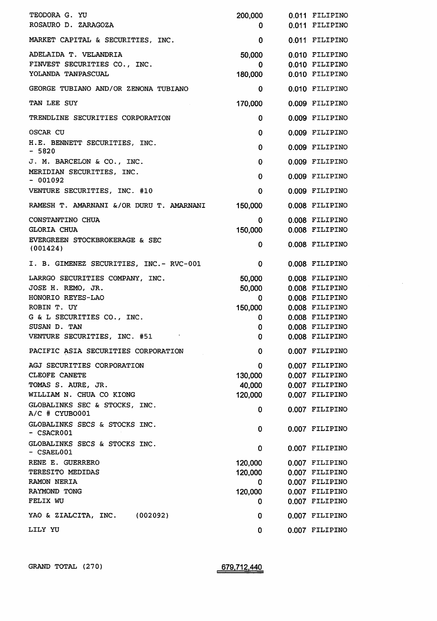| TEODORA G. YU<br>ROSAURO D. ZARAGOZA                                        | 200,000<br>0           | 0.011 FILIPINO<br>0.011 FILIPINO                   |
|-----------------------------------------------------------------------------|------------------------|----------------------------------------------------|
| MARKET CAPITAL & SECURITIES, INC.                                           | 0                      | 0.011 FILIPINO                                     |
| ADELAIDA T. VELANDRIA<br>FINVEST SECURITIES CO., INC.<br>YOLANDA TANPASCUAL | 50,000<br>0<br>180,000 | 0.010 FILIPINO<br>0.010 FILIPINO<br>0.010 FILIPINO |
| GEORGE TUBIANO AND/OR ZENONA TUBIANO                                        | 0                      | 0.010 FILIPINO                                     |
| TAN LEE SUY                                                                 | 170,000                | 0.009 FILIPINO                                     |
| TRENDLINE SECURITIES CORPORATION                                            | 0                      | 0.009 FILIPINO                                     |
| OSCAR CU                                                                    | 0                      | 0.009 FILIPINO                                     |
| H.E. BENNETT SECURITIES, INC.<br>$-5820$                                    | $\mathbf{0}$           | 0.009 FILIPINO                                     |
| J. M. BARCELON & CO., INC.                                                  | 0                      | 0.009 FILIPINO                                     |
| MERIDIAN SECURITIES, INC.<br>$-001092$                                      | $\mathbf 0$            | 0.009 FILIPINO                                     |
| VENTURE SECURITIES, INC. #10                                                | $\mathbf 0$            | 0.009 FILIPINO                                     |
| RAMESH T. AMARNANI &/OR DURU T. AMARNANI                                    | 150,000                | 0.008 FILIPINO                                     |
| CONSTANTINO CHUA<br><b>GLORIA CHUA</b>                                      | $\mathbf 0$<br>150,000 | 0.008 FILIPINO<br>0.008 FILIPINO                   |
| EVERGREEN STOCKBROKERAGE & SEC<br>(001424)                                  | 0                      | 0.008 FILIPINO                                     |
| I. B. GIMENEZ SECURITIES, INC. - RVC-001                                    | $\mathbf 0$            | 0.008 FILIPINO                                     |
| LARRGO SECURITIES COMPANY, INC.                                             | 50,000                 | 0.008 FILIPINO                                     |
| JOSE H. REMO, JR.                                                           | 50,000                 | 0.008 FILIPINO                                     |
| HONORIO REYES-LAO                                                           | 0                      | 0.008 FILIPINO                                     |
| ROBIN T. UY                                                                 | 150,000                | 0.008 FILIPINO                                     |
| G & L SECURITIES CO., INC.<br>SUSAN D. TAN                                  | 0                      | 0.008 FILIPINO<br>0.008 FILIPINO                   |
|                                                                             | 0                      |                                                    |
| VENTURE SECURITIES, INC. #51                                                | 0                      | 0.008 FILIPINO                                     |
| PACIFIC ASIA SECURITIES CORPORATION                                         | 0                      | 0.007 FILIPINO                                     |
| AGJ SECURITIES CORPORATION                                                  | 0                      | 0.007 FILIPINO                                     |
| <b>CLEOFE CANETE</b>                                                        | 130,000                | 0.007 FILIPINO                                     |
| TOMAS S. AURE, JR.                                                          | 40,000                 | 0.007 FILIPINO                                     |
| WILLIAM N. CHUA CO KIONG                                                    | 120,000                | 0.007 FILIPINO                                     |
| GLOBALINKS SEC & STOCKS, INC.<br>$A/C$ # CYUBO001                           | 0                      | 0.007 FILIPINO                                     |
| GLOBALINKS SECS & STOCKS INC.<br>$-$ CSACR001                               | $\mathbf 0$            | 0.007 FILIPINO                                     |
| GLOBALINKS SECS & STOCKS INC.<br>- CSAEL001                                 | 0                      | 0.007 FILIPINO                                     |
| RENE E. GUERRERO                                                            | 120,000                | 0.007 FILIPINO                                     |
| TERESITO MEDIDAS                                                            | 120,000                | 0.007 FILIPINO                                     |
| <b>RAMON NERIA</b>                                                          | 0                      | 0.007 FILIPINO                                     |
| RAYMOND TONG                                                                | 120,000                | 0.007 FILIPINO                                     |
| FELIX WU                                                                    | 0                      | 0.007 FILIPINO                                     |
| YAO & ZIALCITA, INC. (002092)                                               | 0                      | 0.007 FILIPINO                                     |
| LILY YU                                                                     | 0                      | 0.007 FILIPINO                                     |

 $\sim$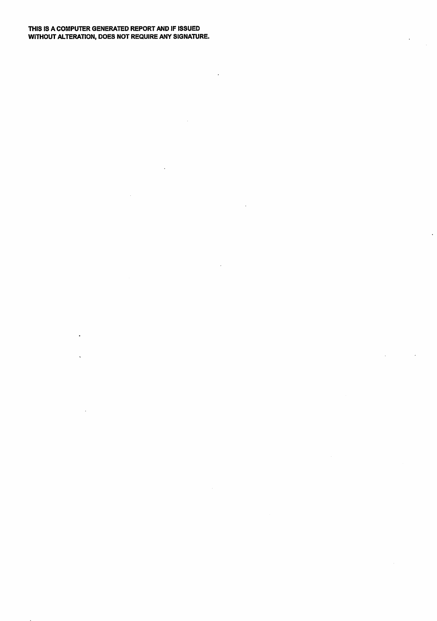## THIS IS A COMPUTER GENERATED REPORT AND IF ISSUED WITHOUT ALTERATION, DOES NOT REQUIRE ANY SIGNATURE.

 $\ddot{\phantom{a}}$ 

 $\ddot{\phantom{a}}$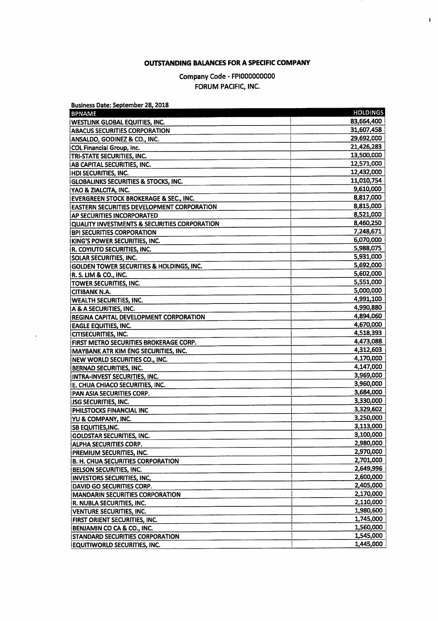## OUTSTANDING BALANCES FOR A SPECIFIC COMPANY

 $\mathbf{1}$ 

## Company Code - FPIOOOOOOOOO FORUM PACIFIC, INC.

| <b>BPNAME</b>                                     | <b>HOLDINGS</b> |
|---------------------------------------------------|-----------------|
| <b>WESTLINK GLOBAL EQUITIES, INC.</b>             | 83,664,400      |
| <b>ABACUS SECURITIES CORPORATION</b>              | 31,607,458      |
| ANSALDO, GODINEZ & CO., INC.                      | 29,692,000      |
| COL Financial Group, Inc.                         | 21,426,283      |
| TRI-STATE SECURITIES, INC.                        | 13,500,000      |
| AB CAPITAL SECURITIES, INC.                       | 12,571,000      |
| HDI SECURITIES, INC.                              | 12,432,000      |
| <b>GLOBALINKS SECURITIES &amp; STOCKS, INC.</b>   | 11,010,754      |
| YAO & ZIALCITA, INC.                              | 9,610,000       |
| <b>EVERGREEN STOCK BROKERAGE &amp; SEC., INC.</b> | 8,817,000       |
| <b>EASTERN SECURITIES DEVELOPMENT CORPORATION</b> | 8,815,000       |
| AP SECURITIES INCORPORATED                        | 8,521,000       |
| QUALITY INVESTMENTS & SECURITIES CORPORATION      | 8,460,250       |
| <b>BPI SECURITIES CORPORATION</b>                 | 7,248,671       |
| KING'S POWER SECURITIES, INC.                     | 6,070,000       |
| R. COYIUTO SECURITIES, INC.                       | 5,988,075       |
| SOLAR SECURITIES, INC.                            | 5,931,000       |
| GOLDEN TOWER SECURITIES & HOLDINGS, INC.          | 5,692,000       |
| R. S. LIM & CO., INC.                             | 5,602,000       |
| TOWER SECURITIES, INC.                            | 5,551,000       |
| <b>CITIBANK N.A.</b>                              | 5,000,000       |
| <b>WEALTH SECURITIES, INC.</b>                    | 4,991,100       |
| A & A SECURITIES, INC.                            | 4,990,880       |
| REGINA CAPITAL DEVELOPMENT CORPORATION            | 4,894,060       |
| <b>EAGLE EQUITIES, INC.</b>                       | 4,670,000       |
| <b>CITISECURITIES, INC.</b>                       | 4,518,393       |
| FIRST METRO SECURITIES BROKERAGE CORP.            | 4,473,088       |
| MAYBANK ATR KIM ENG SECURITIES, INC.              | 4,312,603       |
| NEW WORLD SECURITIES CO., INC.                    | 4,170,000       |
| <b>BERNAD SECURITIES, INC.</b>                    | 4,147,000       |
| INTRA-INVEST SECURITIES, INC.                     | 3,969,000       |
| E. CHUA CHIACO SECURITIES, INC.                   | 3,960,000       |
| PAN ASIA SECURITIES CORP.                         | 3,684,000       |
| <b>JSG SECURITIES, INC.</b>                       | 3,330,000       |
| PHILSTOCKS FINANCIAL INC                          | 3,329,602       |
|                                                   | 3,250,000       |
| YU & COMPANY, INC.                                | 3,113,000       |
| <b>SB EQUITIES, INC.</b>                          | 3,100,000       |
| <b>GOLDSTAR SECURITIES, INC.</b>                  | 2,980,000       |
| <b>ALPHA SECURITIES CORP.</b>                     | 2,970,000       |
| PREMIUM SECURITIES, INC.                          | 2,701,000       |
| <b>B. H. CHUA SECURITIES CORPORATION</b>          |                 |
| BELSON SECURITIES, INC.                           | 2,649,996       |
| INVESTORS SECURITIES, INC,                        | 2,600,000       |
| DAVID GO SECURITIES CORP.                         | 2,405,000       |
| <b>MANDARIN SECURITIES CORPORATION</b>            | 2,170,000       |
| R. NUBLA SECURITIES, INC.                         | 2,110,000       |
| <b>VENTURE SECURITIES, INC.</b>                   | 1,980,600       |
| FIRST ORIENT SECURITIES, INC.                     | 1,745,000       |
| BENJAMIN CO CA & CO., INC.                        | 1,560,000       |
| <b>STANDARD SECURITIES CORPORATION</b>            | 1,545,000       |
| <b>EQUITIWORLD SECURITIES, INC.</b>               | 1,445,000       |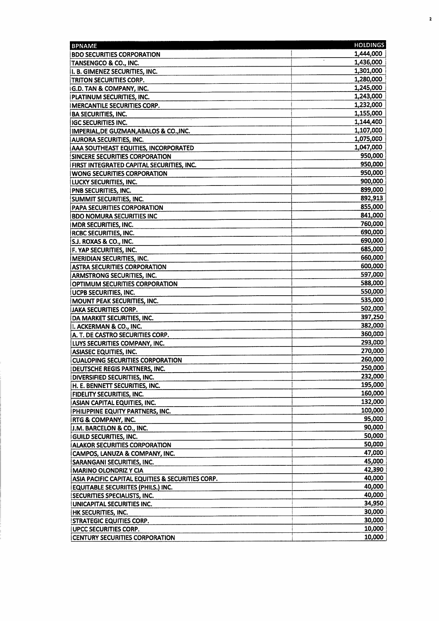| <b>BPNAME</b>                                                         | <b>HOLDINGS</b>    |
|-----------------------------------------------------------------------|--------------------|
| <b>BDO SECURITIES CORPORATION</b>                                     | 1,444,000          |
| TANSENGCO & CO., INC.                                                 | 1,436,000          |
| II. B. GIMENEZ SECURITIES, INC.                                       | 1,301,000          |
| TRITON SECURITIES CORP.                                               | 1,280,000          |
| <b>IG.D. TAN &amp; COMPANY, INC.</b>                                  | 1,245,000          |
| PLATINUM SECURITIES, INC.                                             | 1,243,000          |
| <b>IMERCANTILE SECURITIES CORP.</b>                                   | 1,232,000          |
| <b>BA SECURITIES, INC.</b>                                            | 1,155,000          |
| <b>IGC SECURITIES INC.</b>                                            | 1,144,400          |
| IMPERIAL, DE GUZMAN, ABALOS & CO., INC.                               | 1,107,000          |
| <b>AURORA SECURITIES, INC.</b>                                        | 1,075,000          |
| <b>AAA SOUTHEAST EQUITIES, INCORPORATED</b>                           | 1,047,000          |
| SINCERE SECURITIES CORPORATION                                        | 950,000            |
| FIRST INTEGRATED CAPITAL SECURITIES, INC.                             | 950,000            |
| <b>WONG SECURITIES CORPORATION</b>                                    | 950,000            |
| LUCKY SECURITIES, INC.                                                | 900,000            |
| <b>PNB SECURITIES, INC.</b>                                           | 899,000            |
| SUMMIT SECURITIES, INC.                                               | 892,913            |
| <b>PAPA SECURITIES CORPORATION</b>                                    | 855,000            |
| <b>BDO NOMURA SECURITIES INC</b>                                      | 841,000            |
| <b>IMDR SECURITIES, INC.</b>                                          | 760,000            |
| <b>RCBC SECURITIES, INC.</b>                                          | 690,000            |
| <b>S.J. ROXAS &amp; CO., INC.</b>                                     | 690,000            |
| F. YAP SECURITIES, INC.                                               | 685,000            |
| MERIDIAN SECURITIES, INC.                                             | 660,000            |
| <b>ASTRA SECURITIES CORPORATION</b>                                   | 600,000            |
| <b>ARMSTRONG SECURITIES, INC.</b>                                     | 597,000            |
| <b>OPTIMUM SECURITIES CORPORATION</b>                                 | 588,000            |
| <b>UCPB SECURITIES, INC.</b>                                          | 550,000            |
| MOUNT PEAK SECURITIES, INC.                                           | 535,000            |
| <b>JAKA SECURITIES CORP.</b>                                          | 502,000            |
| DA MARKET SECURITIES, INC.                                            | 397,250            |
| I. ACKERMAN & CO., INC.                                               | 382,000            |
| A. T. DE CASTRO SECURITIES CORP.                                      | 360,000            |
| LUYS SECURITIES COMPANY, INC.                                         | 293,000            |
| <b>ASIASEC EQUITIES, INC.</b>                                         | 270,000            |
| <b>CUALOPING SECURITIES CORPORATION</b>                               | 260,000<br>250,000 |
| <b>DEUTSCHE REGIS PARTNERS, INC.</b>                                  |                    |
| DIVERSIFIED SECURITIES, INC.                                          | 232,000<br>195,000 |
| H. E. BENNETT SECURITIES, INC.                                        | 160,000            |
| <b>FIDELITY SECURITIES, INC.</b>                                      | 132,000            |
| ASIAN CAPITAL EQUITIES, INC.                                          | 100,000            |
| PHILIPPINE EQUITY PARTNERS, INC.                                      | 95,000             |
| <b>RTG &amp; COMPANY, INC.</b>                                        | 90,000             |
| IJ.M. BARCELON & CO., INC.                                            | 50,000             |
| <b>GUILD SECURITIES, INC.</b><br><b>ALAKOR SECURITIES CORPORATION</b> | 50,000             |
| CAMPOS, LANUZA & COMPANY, INC.                                        | 47,000             |
| SARANGANI SECURITIES, INC.                                            | 45,000             |
| <b>MARINO OLONDRIZ Y CIA</b>                                          | 42,390             |
| ASIA PACIFIC CAPITAL EQUITIES & SECURITIES CORP.                      | 40,000             |
| <b>EQUITABLE SECURIITES (PHILS.) INC.</b>                             | 40,000             |
| SECURITIES SPECIALISTS, INC.                                          | 40,000             |
| UNICAPITAL SECURITIES INC.                                            | 34,950             |
| HK SECURITIES, INC.                                                   | 30,000             |
| <b>STRATEGIC EQUITIES CORP.</b>                                       | 30,000             |
| <b>UPCC SECURITIES CORP.</b>                                          | 10,000             |
| <b>CENTURY SECURITIES CORPORATION</b>                                 | 10,000             |

 $\overline{\mathbf{r}}$